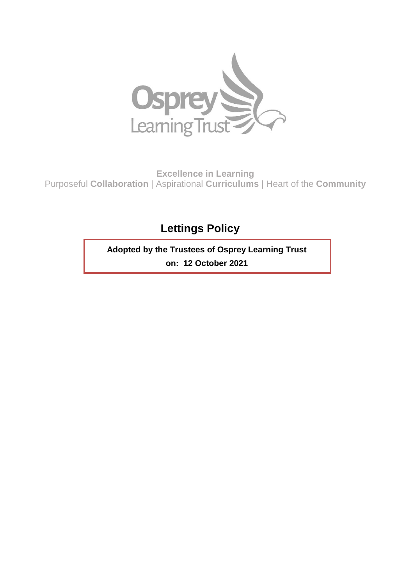

**Excellence in Learning** Purposeful **Collaboration** | Aspirational **Curriculums** | Heart of the **Community**

# **Lettings Policy**

**Adopted by the Trustees of Osprey Learning Trust on: 12 October 2021**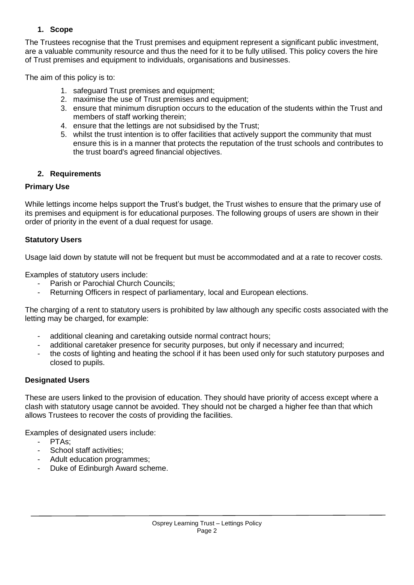# **1. Scope**

The Trustees recognise that the Trust premises and equipment represent a significant public investment, are a valuable community resource and thus the need for it to be fully utilised. This policy covers the hire of Trust premises and equipment to individuals, organisations and businesses.

The aim of this policy is to:

- 1. safeguard Trust premises and equipment;
- 2. maximise the use of Trust premises and equipment;
- 3. ensure that minimum disruption occurs to the education of the students within the Trust and members of staff working therein;
- 4. ensure that the lettings are not subsidised by the Trust;
- 5. whilst the trust intention is to offer facilities that actively support the community that must ensure this is in a manner that protects the reputation of the trust schools and contributes to the trust board's agreed financial objectives.

### **2. Requirements**

### **Primary Use**

While lettings income helps support the Trust's budget, the Trust wishes to ensure that the primary use of its premises and equipment is for educational purposes. The following groups of users are shown in their order of priority in the event of a dual request for usage.

### **Statutory Users**

Usage laid down by statute will not be frequent but must be accommodated and at a rate to recover costs.

Examples of statutory users include:

- Parish or Parochial Church Councils:
- Returning Officers in respect of parliamentary, local and European elections.

The charging of a rent to statutory users is prohibited by law although any specific costs associated with the letting may be charged, for example:

- additional cleaning and caretaking outside normal contract hours;
- additional caretaker presence for security purposes, but only if necessary and incurred;
- the costs of lighting and heating the school if it has been used only for such statutory purposes and closed to pupils.

### **Designated Users**

These are users linked to the provision of education. They should have priority of access except where a clash with statutory usage cannot be avoided. They should not be charged a higher fee than that which allows Trustees to recover the costs of providing the facilities.

Examples of designated users include:

- PTAs:
- School staff activities:
- Adult education programmes;
- Duke of Edinburgh Award scheme.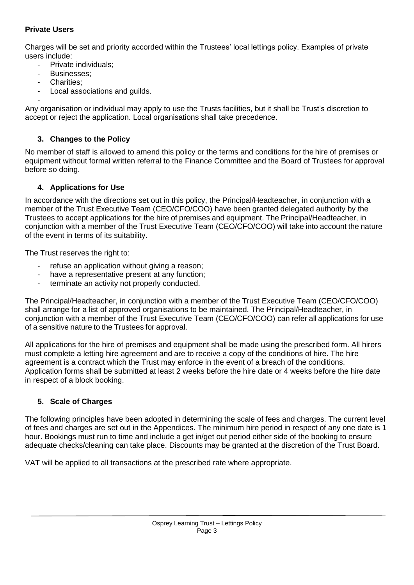# **Private Users**

Charges will be set and priority accorded within the Trustees' local lettings policy. Examples of private users include:

- Private individuals:
- Businesses:
- Charities:
- Local associations and guilds.

- Any organisation or individual may apply to use the Trusts facilities, but it shall be Trust's discretion to accept or reject the application. Local organisations shall take precedence.

### **3. Changes to the Policy**

No member of staff is allowed to amend this policy or the terms and conditions for the hire of premises or equipment without formal written referral to the Finance Committee and the Board of Trustees for approval before so doing.

### **4. Applications for Use**

In accordance with the directions set out in this policy, the Principal/Headteacher, in conjunction with a member of the Trust Executive Team (CEO/CFO/COO) have been granted delegated authority by the Trustees to accept applications for the hire of premises and equipment. The Principal/Headteacher, in conjunction with a member of the Trust Executive Team (CEO/CFO/COO) will take into account the nature of the event in terms of its suitability.

The Trust reserves the right to:

- refuse an application without giving a reason;
- have a representative present at any function;
- terminate an activity not properly conducted.

The Principal/Headteacher, in conjunction with a member of the Trust Executive Team (CEO/CFO/COO) shall arrange for a list of approved organisations to be maintained. The Principal/Headteacher, in conjunction with a member of the Trust Executive Team (CEO/CFO/COO) can refer all applications for use of a sensitive nature to the Trustees for approval.

All applications for the hire of premises and equipment shall be made using the prescribed form. All hirers must complete a letting hire agreement and are to receive a copy of the conditions of hire. The hire agreement is a contract which the Trust may enforce in the event of a breach of the conditions. Application forms shall be submitted at least 2 weeks before the hire date or 4 weeks before the hire date in respect of a block booking.

### **5. Scale of Charges**

The following principles have been adopted in determining the scale of fees and charges. The current level of fees and charges are set out in the Appendices. The minimum hire period in respect of any one date is 1 hour. Bookings must run to time and include a get in/get out period either side of the booking to ensure adequate checks/cleaning can take place. Discounts may be granted at the discretion of the Trust Board.

VAT will be applied to all transactions at the prescribed rate where appropriate.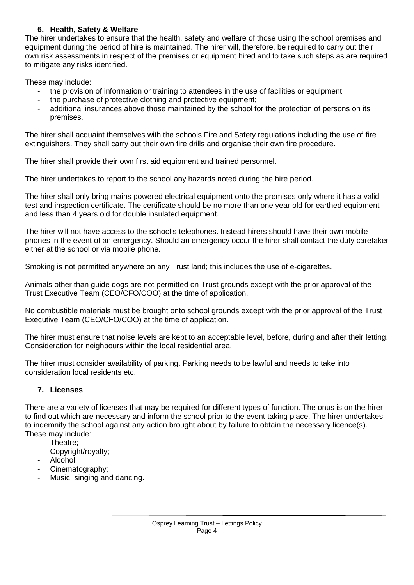# **6. Health, Safety & Welfare**

The hirer undertakes to ensure that the health, safety and welfare of those using the school premises and equipment during the period of hire is maintained. The hirer will, therefore, be required to carry out their own risk assessments in respect of the premises or equipment hired and to take such steps as are required to mitigate any risks identified.

These may include:

- the provision of information or training to attendees in the use of facilities or equipment;
- the purchase of protective clothing and protective equipment;
- additional insurances above those maintained by the school for the protection of persons on its premises.

The hirer shall acquaint themselves with the schools Fire and Safety regulations including the use of fire extinguishers. They shall carry out their own fire drills and organise their own fire procedure.

The hirer shall provide their own first aid equipment and trained personnel.

The hirer undertakes to report to the school any hazards noted during the hire period.

The hirer shall only bring mains powered electrical equipment onto the premises only where it has a valid test and inspection certificate. The certificate should be no more than one year old for earthed equipment and less than 4 years old for double insulated equipment.

The hirer will not have access to the school's telephones. Instead hirers should have their own mobile phones in the event of an emergency. Should an emergency occur the hirer shall contact the duty caretaker either at the school or via mobile phone.

Smoking is not permitted anywhere on any Trust land; this includes the use of e-cigarettes.

Animals other than guide dogs are not permitted on Trust grounds except with the prior approval of the Trust Executive Team (CEO/CFO/COO) at the time of application.

No combustible materials must be brought onto school grounds except with the prior approval of the Trust Executive Team (CEO/CFO/COO) at the time of application.

The hirer must ensure that noise levels are kept to an acceptable level, before, during and after their letting. Consideration for neighbours within the local residential area.

The hirer must consider availability of parking. Parking needs to be lawful and needs to take into consideration local residents etc.

# **7. Licenses**

There are a variety of licenses that may be required for different types of function. The onus is on the hirer to find out which are necessary and inform the school prior to the event taking place. The hirer undertakes to indemnify the school against any action brought about by failure to obtain the necessary licence(s). These may include:

- Theatre:
- Copyright/royalty;
- Alcohol:
- Cinematography;
- Music, singing and dancing.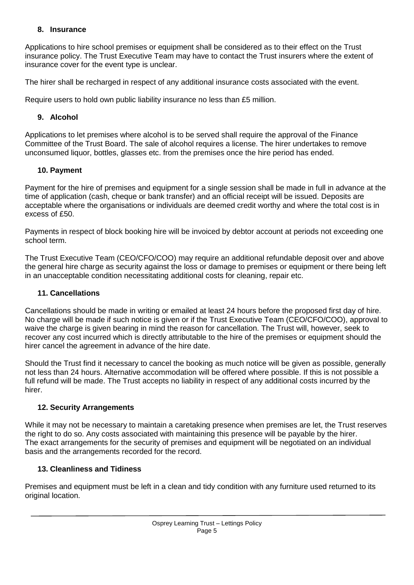# **8. Insurance**

Applications to hire school premises or equipment shall be considered as to their effect on the Trust insurance policy. The Trust Executive Team may have to contact the Trust insurers where the extent of insurance cover for the event type is unclear.

The hirer shall be recharged in respect of any additional insurance costs associated with the event.

Require users to hold own public liability insurance no less than £5 million.

# **9. Alcohol**

Applications to let premises where alcohol is to be served shall require the approval of the Finance Committee of the Trust Board. The sale of alcohol requires a license. The hirer undertakes to remove unconsumed liquor, bottles, glasses etc. from the premises once the hire period has ended.

### **10. Payment**

Payment for the hire of premises and equipment for a single session shall be made in full in advance at the time of application (cash, cheque or bank transfer) and an official receipt will be issued. Deposits are acceptable where the organisations or individuals are deemed credit worthy and where the total cost is in excess of £50.

Payments in respect of block booking hire will be invoiced by debtor account at periods not exceeding one school term.

The Trust Executive Team (CEO/CFO/COO) may require an additional refundable deposit over and above the general hire charge as security against the loss or damage to premises or equipment or there being left in an unacceptable condition necessitating additional costs for cleaning, repair etc.

### **11. Cancellations**

Cancellations should be made in writing or emailed at least 24 hours before the proposed first day of hire. No charge will be made if such notice is given or if the Trust Executive Team (CEO/CFO/COO), approval to waive the charge is given bearing in mind the reason for cancellation. The Trust will, however, seek to recover any cost incurred which is directly attributable to the hire of the premises or equipment should the hirer cancel the agreement in advance of the hire date.

Should the Trust find it necessary to cancel the booking as much notice will be given as possible, generally not less than 24 hours. Alternative accommodation will be offered where possible. If this is not possible a full refund will be made. The Trust accepts no liability in respect of any additional costs incurred by the hirer.

### **12. Security Arrangements**

While it may not be necessary to maintain a caretaking presence when premises are let, the Trust reserves the right to do so. Any costs associated with maintaining this presence will be payable by the hirer. The exact arrangements for the security of premises and equipment will be negotiated on an individual basis and the arrangements recorded for the record.

### **13. Cleanliness and Tidiness**

Premises and equipment must be left in a clean and tidy condition with any furniture used returned to its original location.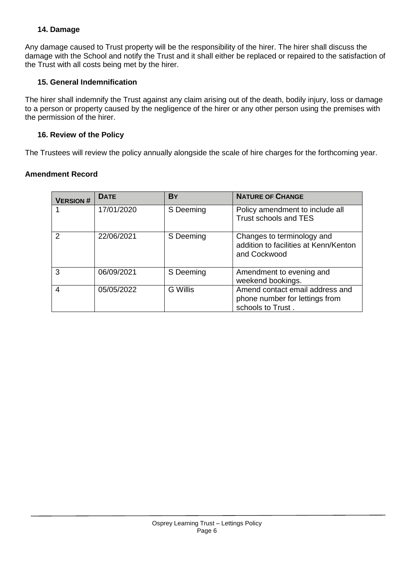# **14. Damage**

Any damage caused to Trust property will be the responsibility of the hirer. The hirer shall discuss the damage with the School and notify the Trust and it shall either be replaced or repaired to the satisfaction of the Trust with all costs being met by the hirer.

# **15. General Indemnification**

The hirer shall indemnify the Trust against any claim arising out of the death, bodily injury, loss or damage to a person or property caused by the negligence of the hirer or any other person using the premises with the permission of the hirer.

### **16. Review of the Policy**

The Trustees will review the policy annually alongside the scale of hire charges for the forthcoming year.

### **Amendment Record**

| <b>VERSION#</b> | <b>DATE</b> | <b>BY</b>       | <b>NATURE OF CHANGE</b>                                                                |
|-----------------|-------------|-----------------|----------------------------------------------------------------------------------------|
|                 | 17/01/2020  | S Deeming       | Policy amendment to include all<br>Trust schools and TES                               |
| $\mathcal{P}$   | 22/06/2021  | S Deeming       | Changes to terminology and<br>addition to facilities at Kenn/Kenton<br>and Cockwood    |
| 3               | 06/09/2021  | S Deeming       | Amendment to evening and<br>weekend bookings.                                          |
| 4               | 05/05/2022  | <b>G</b> Willis | Amend contact email address and<br>phone number for lettings from<br>schools to Trust. |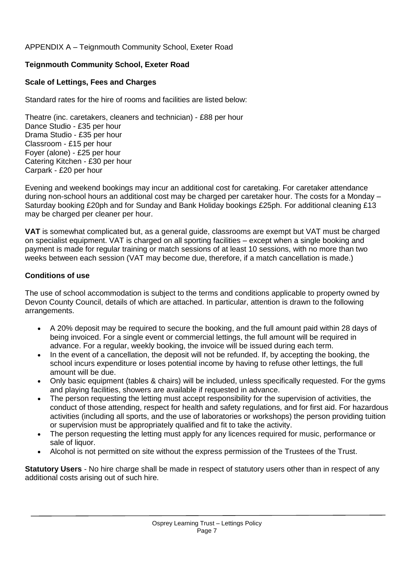# APPENDIX A – Teignmouth Community School, Exeter Road

# **Teignmouth Community School, Exeter Road**

# **Scale of Lettings, Fees and Charges**

Standard rates for the hire of rooms and facilities are listed below:

Theatre (inc. caretakers, cleaners and technician) - £88 per hour Dance Studio - £35 per hour Drama Studio - £35 per hour Classroom - £15 per hour Foyer (alone) - £25 per hour Catering Kitchen - £30 per hour Carpark - £20 per hour

Evening and weekend bookings may incur an additional cost for caretaking. For caretaker attendance during non-school hours an additional cost may be charged per caretaker hour. The costs for a Monday – Saturday booking £20ph and for Sunday and Bank Holiday bookings £25ph. For additional cleaning £13 may be charged per cleaner per hour.

**VAT** is somewhat complicated but, as a general guide, classrooms are exempt but VAT must be charged on specialist equipment. VAT is charged on all sporting facilities – except when a single booking and payment is made for regular training or match sessions of at least 10 sessions, with no more than two weeks between each session (VAT may become due, therefore, if a match cancellation is made.)

# **Conditions of use**

The use of school accommodation is subject to the terms and conditions applicable to property owned by Devon County Council, details of which are attached. In particular, attention is drawn to the following arrangements.

- A 20% deposit may be required to secure the booking, and the full amount paid within 28 days of being invoiced. For a single event or commercial lettings, the full amount will be required in advance. For a regular, weekly booking, the invoice will be issued during each term.
- In the event of a cancellation, the deposit will not be refunded. If, by accepting the booking, the school incurs expenditure or loses potential income by having to refuse other lettings, the full amount will be due.
- Only basic equipment (tables & chairs) will be included, unless specifically requested. For the gyms and playing facilities, showers are available if requested in advance.
- The person requesting the letting must accept responsibility for the supervision of activities, the conduct of those attending, respect for health and safety regulations, and for first aid. For hazardous activities (including all sports, and the use of laboratories or workshops) the person providing tuition or supervision must be appropriately qualified and fit to take the activity.
- The person requesting the letting must apply for any licences required for music, performance or sale of liquor.
- Alcohol is not permitted on site without the express permission of the Trustees of the Trust.

**Statutory Users** - No hire charge shall be made in respect of statutory users other than in respect of any additional costs arising out of such hire.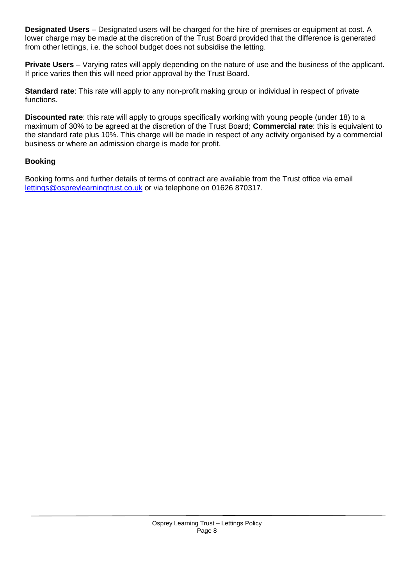**Designated Users** – Designated users will be charged for the hire of premises or equipment at cost. A lower charge may be made at the discretion of the Trust Board provided that the difference is generated from other lettings, i.e. the school budget does not subsidise the letting.

**Private Users** – Varying rates will apply depending on the nature of use and the business of the applicant. If price varies then this will need prior approval by the Trust Board.

**Standard rate**: This rate will apply to any non-profit making group or individual in respect of private functions.

**Discounted rate**: this rate will apply to groups specifically working with young people (under 18) to a maximum of 30% to be agreed at the discretion of the Trust Board; **Commercial rate**: this is equivalent to the standard rate plus 10%. This charge will be made in respect of any activity organised by a commercial business or where an admission charge is made for profit.

### **Booking**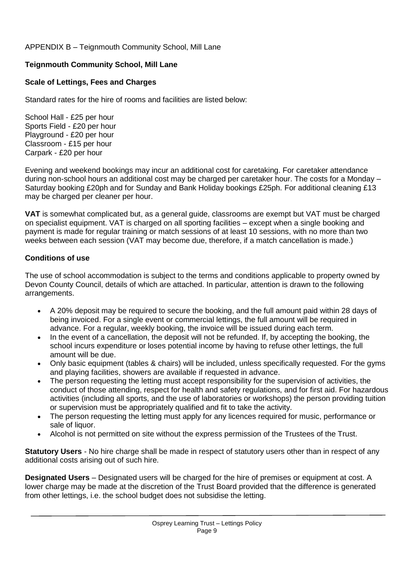# APPENDIX B – Teignmouth Community School, Mill Lane

# **Teignmouth Community School, Mill Lane**

# **Scale of Lettings, Fees and Charges**

Standard rates for the hire of rooms and facilities are listed below:

School Hall - £25 per hour Sports Field - £20 per hour Playground - £20 per hour Classroom - £15 per hour Carpark - £20 per hour

Evening and weekend bookings may incur an additional cost for caretaking. For caretaker attendance during non-school hours an additional cost may be charged per caretaker hour. The costs for a Monday – Saturday booking £20ph and for Sunday and Bank Holiday bookings £25ph. For additional cleaning £13 may be charged per cleaner per hour.

**VAT** is somewhat complicated but, as a general guide, classrooms are exempt but VAT must be charged on specialist equipment. VAT is charged on all sporting facilities – except when a single booking and payment is made for regular training or match sessions of at least 10 sessions, with no more than two weeks between each session (VAT may become due, therefore, if a match cancellation is made.)

# **Conditions of use**

The use of school accommodation is subject to the terms and conditions applicable to property owned by Devon County Council, details of which are attached. In particular, attention is drawn to the following arrangements.

- A 20% deposit may be required to secure the booking, and the full amount paid within 28 days of being invoiced. For a single event or commercial lettings, the full amount will be required in advance. For a regular, weekly booking, the invoice will be issued during each term.
- In the event of a cancellation, the deposit will not be refunded. If, by accepting the booking, the school incurs expenditure or loses potential income by having to refuse other lettings, the full amount will be due.
- Only basic equipment (tables & chairs) will be included, unless specifically requested. For the gyms and playing facilities, showers are available if requested in advance.
- The person requesting the letting must accept responsibility for the supervision of activities, the conduct of those attending, respect for health and safety regulations, and for first aid. For hazardous activities (including all sports, and the use of laboratories or workshops) the person providing tuition or supervision must be appropriately qualified and fit to take the activity.
- The person requesting the letting must apply for any licences required for music, performance or sale of liquor.
- Alcohol is not permitted on site without the express permission of the Trustees of the Trust.

**Statutory Users** - No hire charge shall be made in respect of statutory users other than in respect of any additional costs arising out of such hire.

**Designated Users** – Designated users will be charged for the hire of premises or equipment at cost. A lower charge may be made at the discretion of the Trust Board provided that the difference is generated from other lettings, i.e. the school budget does not subsidise the letting.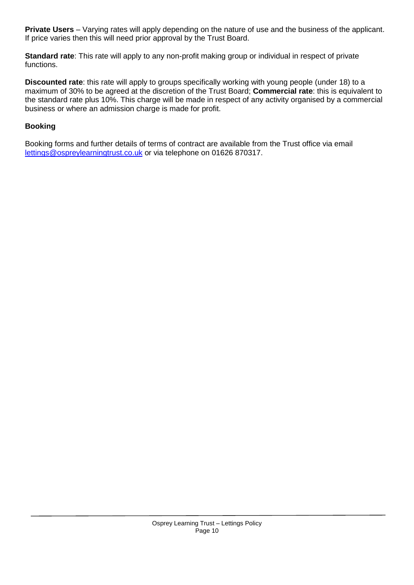**Private Users** – Varying rates will apply depending on the nature of use and the business of the applicant. If price varies then this will need prior approval by the Trust Board.

**Standard rate**: This rate will apply to any non-profit making group or individual in respect of private functions.

**Discounted rate**: this rate will apply to groups specifically working with young people (under 18) to a maximum of 30% to be agreed at the discretion of the Trust Board; **Commercial rate**: this is equivalent to the standard rate plus 10%. This charge will be made in respect of any activity organised by a commercial business or where an admission charge is made for profit.

### **Booking**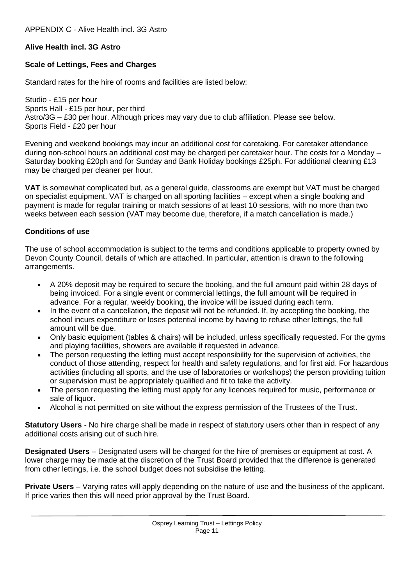# **Alive Health incl. 3G Astro**

### **Scale of Lettings, Fees and Charges**

Standard rates for the hire of rooms and facilities are listed below:

Studio - £15 per hour Sports Hall - £15 per hour, per third Astro/3G – £30 per hour. Although prices may vary due to club affiliation. Please see below. Sports Field - £20 per hour

Evening and weekend bookings may incur an additional cost for caretaking. For caretaker attendance during non-school hours an additional cost may be charged per caretaker hour. The costs for a Monday – Saturday booking £20ph and for Sunday and Bank Holiday bookings £25ph. For additional cleaning £13 may be charged per cleaner per hour.

**VAT** is somewhat complicated but, as a general guide, classrooms are exempt but VAT must be charged on specialist equipment. VAT is charged on all sporting facilities – except when a single booking and payment is made for regular training or match sessions of at least 10 sessions, with no more than two weeks between each session (VAT may become due, therefore, if a match cancellation is made.)

### **Conditions of use**

The use of school accommodation is subject to the terms and conditions applicable to property owned by Devon County Council, details of which are attached. In particular, attention is drawn to the following arrangements.

- A 20% deposit may be required to secure the booking, and the full amount paid within 28 days of being invoiced. For a single event or commercial lettings, the full amount will be required in advance. For a regular, weekly booking, the invoice will be issued during each term.
- In the event of a cancellation, the deposit will not be refunded. If, by accepting the booking, the school incurs expenditure or loses potential income by having to refuse other lettings, the full amount will be due.
- Only basic equipment (tables & chairs) will be included, unless specifically requested. For the gyms and playing facilities, showers are available if requested in advance.
- The person requesting the letting must accept responsibility for the supervision of activities, the conduct of those attending, respect for health and safety regulations, and for first aid. For hazardous activities (including all sports, and the use of laboratories or workshops) the person providing tuition or supervision must be appropriately qualified and fit to take the activity.
- The person requesting the letting must apply for any licences required for music, performance or sale of liquor.
- Alcohol is not permitted on site without the express permission of the Trustees of the Trust.

**Statutory Users** - No hire charge shall be made in respect of statutory users other than in respect of any additional costs arising out of such hire.

**Designated Users** – Designated users will be charged for the hire of premises or equipment at cost. A lower charge may be made at the discretion of the Trust Board provided that the difference is generated from other lettings, i.e. the school budget does not subsidise the letting.

**Private Users** – Varying rates will apply depending on the nature of use and the business of the applicant. If price varies then this will need prior approval by the Trust Board.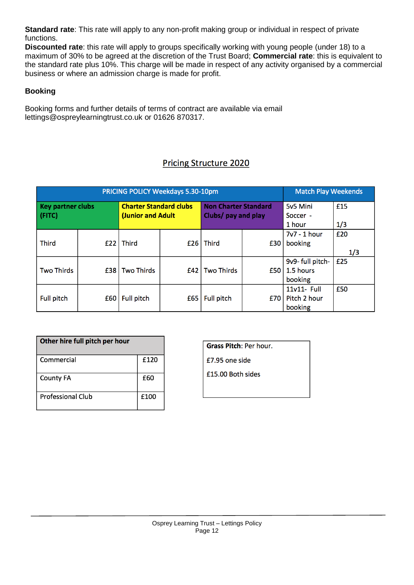**Standard rate**: This rate will apply to any non-profit making group or individual in respect of private functions.

**Discounted rate**: this rate will apply to groups specifically working with young people (under 18) to a maximum of 30% to be agreed at the discretion of the Trust Board; **Commercial rate**: this is equivalent to the standard rate plus 10%. This charge will be made in respect of any activity organised by a commercial business or where an admission charge is made for profit.

# **Booking**

Booking forms and further details of terms of contract are available via email lettings@ospreylearningtrust.co.uk or 01626 870317.

# **Pricing Structure 2020**

|                          | <b>PRICING POLICY Weekdays 5.30-10pm</b> | <b>Match Play Weekends</b>    |     |                             |     |                  |     |
|--------------------------|------------------------------------------|-------------------------------|-----|-----------------------------|-----|------------------|-----|
| <b>Key partner clubs</b> |                                          | <b>Charter Standard clubs</b> |     | <b>Non Charter Standard</b> |     | 5v5 Mini         | £15 |
| (FITC)                   |                                          | <b>(Junior and Adult</b>      |     | Clubs/ pay and play         |     | Soccer -         |     |
|                          |                                          |                               |     |                             |     | 1 hour           | 1/3 |
|                          |                                          |                               |     |                             |     | 7v7 - 1 hour     | £20 |
| <b>Third</b>             | £22                                      | <b>Third</b>                  | £26 | Third                       | £30 | booking          |     |
|                          |                                          |                               |     |                             |     |                  | 1/3 |
|                          |                                          |                               |     |                             |     | 9v9- full pitch- | £25 |
| <b>Two Thirds</b>        | £38                                      | <b>Two Thirds</b>             | £42 | Two Thirds                  | £50 | 1.5 hours        |     |
|                          |                                          |                               |     |                             |     | booking          |     |
|                          |                                          |                               |     |                             |     | 11v11- Full      | £50 |
| <b>Full pitch</b>        | £60                                      | <b>Full pitch</b>             | £65 | <b>Full pitch</b>           | £70 | Pitch 2 hour     |     |
|                          |                                          |                               |     |                             |     | booking          |     |

| Other hire full pitch per hour |      |
|--------------------------------|------|
| Commercial                     | £120 |
| <b>County FA</b>               | £60  |
| <b>Professional Club</b>       | £100 |

**Grass Pitch: Per hour.** £7.95 one side £15.00 Both sides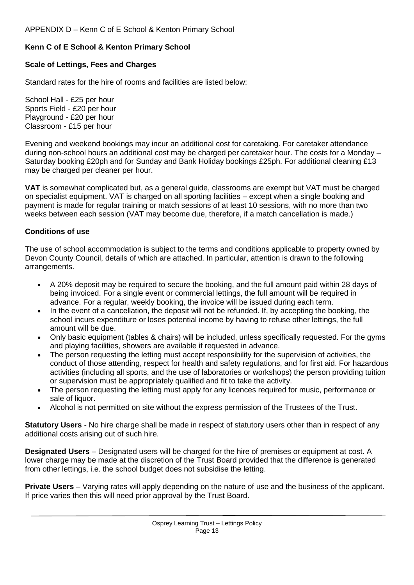# **Kenn C of E School & Kenton Primary School**

### **Scale of Lettings, Fees and Charges**

Standard rates for the hire of rooms and facilities are listed below:

School Hall - £25 per hour Sports Field - £20 per hour Playground - £20 per hour Classroom - £15 per hour

Evening and weekend bookings may incur an additional cost for caretaking. For caretaker attendance during non-school hours an additional cost may be charged per caretaker hour. The costs for a Monday – Saturday booking £20ph and for Sunday and Bank Holiday bookings £25ph. For additional cleaning £13 may be charged per cleaner per hour.

**VAT** is somewhat complicated but, as a general guide, classrooms are exempt but VAT must be charged on specialist equipment. VAT is charged on all sporting facilities – except when a single booking and payment is made for regular training or match sessions of at least 10 sessions, with no more than two weeks between each session (VAT may become due, therefore, if a match cancellation is made.)

### **Conditions of use**

The use of school accommodation is subject to the terms and conditions applicable to property owned by Devon County Council, details of which are attached. In particular, attention is drawn to the following arrangements.

- A 20% deposit may be required to secure the booking, and the full amount paid within 28 days of being invoiced. For a single event or commercial lettings, the full amount will be required in advance. For a regular, weekly booking, the invoice will be issued during each term.
- In the event of a cancellation, the deposit will not be refunded. If, by accepting the booking, the school incurs expenditure or loses potential income by having to refuse other lettings, the full amount will be due.
- Only basic equipment (tables & chairs) will be included, unless specifically requested. For the gyms and playing facilities, showers are available if requested in advance.
- The person requesting the letting must accept responsibility for the supervision of activities, the conduct of those attending, respect for health and safety regulations, and for first aid. For hazardous activities (including all sports, and the use of laboratories or workshops) the person providing tuition or supervision must be appropriately qualified and fit to take the activity.
- The person requesting the letting must apply for any licences required for music, performance or sale of liquor.
- Alcohol is not permitted on site without the express permission of the Trustees of the Trust.

**Statutory Users** - No hire charge shall be made in respect of statutory users other than in respect of any additional costs arising out of such hire.

**Designated Users** – Designated users will be charged for the hire of premises or equipment at cost. A lower charge may be made at the discretion of the Trust Board provided that the difference is generated from other lettings, i.e. the school budget does not subsidise the letting.

**Private Users** – Varying rates will apply depending on the nature of use and the business of the applicant. If price varies then this will need prior approval by the Trust Board.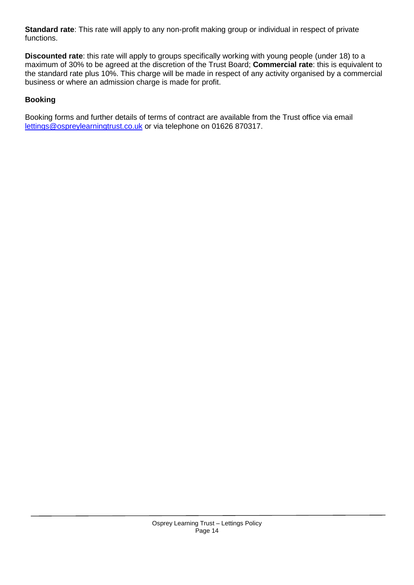**Standard rate**: This rate will apply to any non-profit making group or individual in respect of private functions.

**Discounted rate**: this rate will apply to groups specifically working with young people (under 18) to a maximum of 30% to be agreed at the discretion of the Trust Board; **Commercial rate**: this is equivalent to the standard rate plus 10%. This charge will be made in respect of any activity organised by a commercial business or where an admission charge is made for profit.

# **Booking**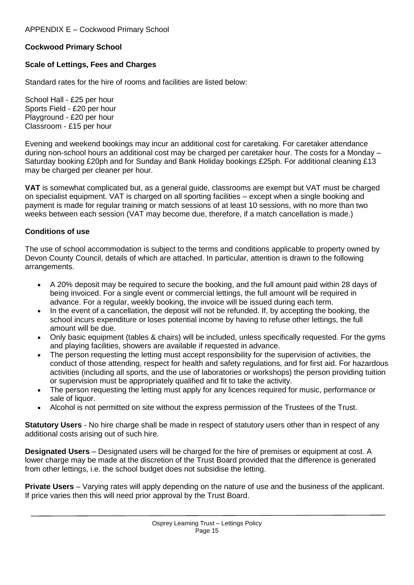# **Cockwood Primary School**

### **Scale of Lettings, Fees and Charges**

Standard rates for the hire of rooms and facilities are listed below:

School Hall - £25 per hour Sports Field - £20 per hour Playground - £20 per hour Classroom - £15 per hour

Evening and weekend bookings may incur an additional cost for caretaking. For caretaker attendance during non-school hours an additional cost may be charged per caretaker hour. The costs for a Monday – Saturday booking £20ph and for Sunday and Bank Holiday bookings £25ph. For additional cleaning £13 may be charged per cleaner per hour.

**VAT** is somewhat complicated but, as a general guide, classrooms are exempt but VAT must be charged on specialist equipment. VAT is charged on all sporting facilities – except when a single booking and payment is made for regular training or match sessions of at least 10 sessions, with no more than two weeks between each session (VAT may become due, therefore, if a match cancellation is made.)

### **Conditions of use**

The use of school accommodation is subject to the terms and conditions applicable to property owned by Devon County Council, details of which are attached. In particular, attention is drawn to the following arrangements.

- A 20% deposit may be required to secure the booking, and the full amount paid within 28 days of being invoiced. For a single event or commercial lettings, the full amount will be required in advance. For a regular, weekly booking, the invoice will be issued during each term.
- In the event of a cancellation, the deposit will not be refunded. If, by accepting the booking, the school incurs expenditure or loses potential income by having to refuse other lettings, the full amount will be due.
- Only basic equipment (tables & chairs) will be included, unless specifically requested. For the gyms and playing facilities, showers are available if requested in advance.
- The person requesting the letting must accept responsibility for the supervision of activities, the conduct of those attending, respect for health and safety regulations, and for first aid. For hazardous activities (including all sports, and the use of laboratories or workshops) the person providing tuition or supervision must be appropriately qualified and fit to take the activity.
- The person requesting the letting must apply for any licences required for music, performance or sale of liquor.
- Alcohol is not permitted on site without the express permission of the Trustees of the Trust.

**Statutory Users** - No hire charge shall be made in respect of statutory users other than in respect of any additional costs arising out of such hire.

**Designated Users** – Designated users will be charged for the hire of premises or equipment at cost. A lower charge may be made at the discretion of the Trust Board provided that the difference is generated from other lettings, i.e. the school budget does not subsidise the letting.

**Private Users** – Varying rates will apply depending on the nature of use and the business of the applicant. If price varies then this will need prior approval by the Trust Board.